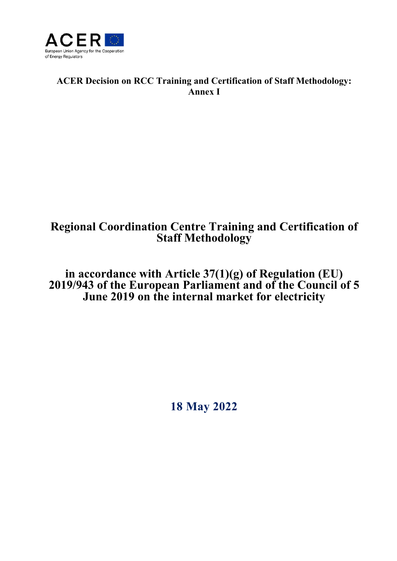

# **ACER Decision on RCC Training and Certification of Staff Methodology: Annex I**

# **Regional Coordination Centre Training and Certification of Staff Methodology**

**in accordance with Article 37(1)(g) of Regulation (EU) 2019/943 of the European Parliament and of the Council of 5 June 2019 on the internal market for electricity** 

**18 May 2022**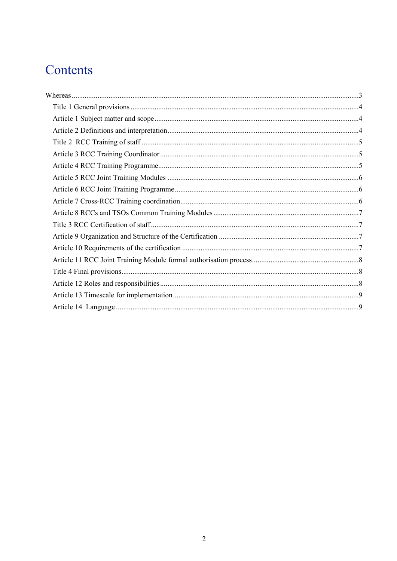# Contents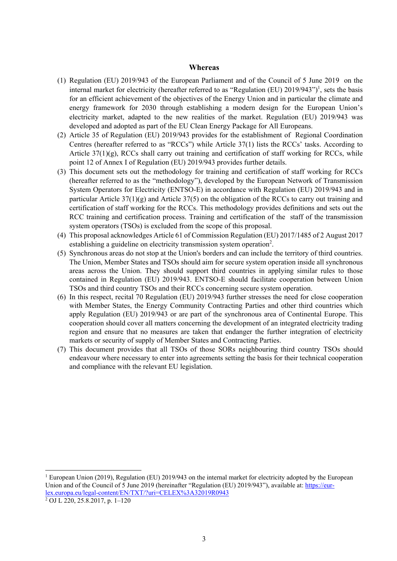#### **Whereas**

- (1) Regulation (EU) 2019/943 of the European Parliament and of the Council of 5 June 2019 on the internal market for electricity (hereafter referred to as "Regulation (EU)  $2019/943"$ )<sup>1</sup>, sets the basis for an efficient achievement of the objectives of the Energy Union and in particular the climate and energy framework for 2030 through establishing a modern design for the European Union's electricity market, adapted to the new realities of the market. Regulation (EU) 2019/943 was developed and adopted as part of the EU Clean Energy Package for All Europeans.
- (2) Article 35 of Regulation (EU) 2019/943 provides for the establishment of Regional Coordination Centres (hereafter referred to as "RCCs") while Article 37(1) lists the RCCs' tasks. According to Article  $37(1)(g)$ , RCCs shall carry out training and certification of staff working for RCCs, while point 12 of Annex I of Regulation (EU) 2019/943 provides further details.
- (3) This document sets out the methodology for training and certification of staff working for RCCs (hereafter referred to as the "methodology"), developed by the European Network of Transmission System Operators for Electricity (ENTSO-E) in accordance with Regulation (EU) 2019/943 and in particular Article  $37(1)(g)$  and Article  $37(5)$  on the obligation of the RCCs to carry out training and certification of staff working for the RCCs. This methodology provides definitions and sets out the RCC training and certification process. Training and certification of the staff of the transmission system operators (TSOs) is excluded from the scope of this proposal.
- (4) This proposal acknowledges Article 61 of Commission Regulation (EU) 2017/1485 of 2 August 2017 establishing a guideline on electricity transmission system operation<sup>2</sup>.
- (5) Synchronous areas do not stop at the Union's borders and can include the territory of third countries. The Union, Member States and TSOs should aim for secure system operation inside all synchronous areas across the Union. They should support third countries in applying similar rules to those contained in Regulation (EU) 2019/943. ENTSO-E should facilitate cooperation between Union TSOs and third country TSOs and their RCCs concerning secure system operation.
- (6) In this respect, recital 70 Regulation (EU) 2019/943 further stresses the need for close cooperation with Member States, the Energy Community Contracting Parties and other third countries which apply Regulation (EU) 2019/943 or are part of the synchronous area of Continental Europe. This cooperation should cover all matters concerning the development of an integrated electricity trading region and ensure that no measures are taken that endanger the further integration of electricity markets or security of supply of Member States and Contracting Parties.
- (7) This document provides that all TSOs of those SORs neighbouring third country TSOs should endeavour where necessary to enter into agreements setting the basis for their technical cooperation and compliance with the relevant EU legislation.

l

<sup>&</sup>lt;sup>1</sup> European Union (2019), Regulation (EU) 2019/943 on the internal market for electricity adopted by the European Union and of the Council of 5 June 2019 (hereinafter "Regulation (EU) 2019/943"), available at: https://eurlex.europa.eu/legal-content/EN/TXT/?uri=CELEX%3A32019R0943

 $\sqrt[2]{\text{OJ L } 220}$ , 25.8.2017, p. 1–120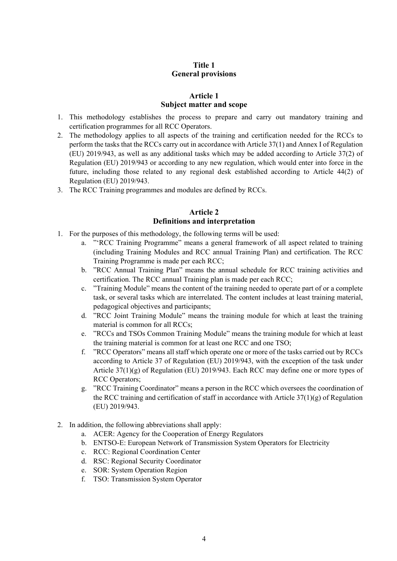# **Title 1 General provisions**

# **Article 1 Subject matter and scope**

- 1. This methodology establishes the process to prepare and carry out mandatory training and certification programmes for all RCC Operators.
- 2. The methodology applies to all aspects of the training and certification needed for the RCCs to perform the tasks that the RCCs carry out in accordance with Article 37(1) and Annex I of Regulation (EU) 2019/943, as well as any additional tasks which may be added according to Article 37(2) of Regulation (EU) 2019/943 or according to any new regulation, which would enter into force in the future, including those related to any regional desk established according to Article 44(2) of Regulation (EU) 2019/943.
- 3. The RCC Training programmes and modules are defined by RCCs.

# **Article 2 Definitions and interpretation**

- 1. For the purposes of this methodology, the following terms will be used:
	- a. "'RCC Training Programme" means a general framework of all aspect related to training (including Training Modules and RCC annual Training Plan) and certification. The RCC Training Programme is made per each RCC;
	- b. "RCC Annual Training Plan" means the annual schedule for RCC training activities and certification. The RCC annual Training plan is made per each RCC;
	- c. "Training Module" means the content of the training needed to operate part of or a complete task, or several tasks which are interrelated. The content includes at least training material, pedagogical objectives and participants;
	- d. "RCC Joint Training Module" means the training module for which at least the training material is common for all RCCs;
	- e. "RCCs and TSOs Common Training Module" means the training module for which at least the training material is common for at least one RCC and one TSO;
	- f. "RCC Operators" means all staff which operate one or more of the tasks carried out by RCCs according to Article 37 of Regulation (EU) 2019/943, with the exception of the task under Article 37(1)(g) of Regulation (EU) 2019/943. Each RCC may define one or more types of RCC Operators;
	- g. "RCC Training Coordinator" means a person in the RCC which oversees the coordination of the RCC training and certification of staff in accordance with Article  $37(1)(g)$  of Regulation (EU) 2019/943.
- 2. In addition, the following abbreviations shall apply:
	- a. ACER: Agency for the Cooperation of Energy Regulators
	- b. ENTSO-E: European Network of Transmission System Operators for Electricity
	- c. RCC: Regional Coordination Center
	- d. RSC: Regional Security Coordinator
	- e. SOR: System Operation Region
	- f. TSO: Transmission System Operator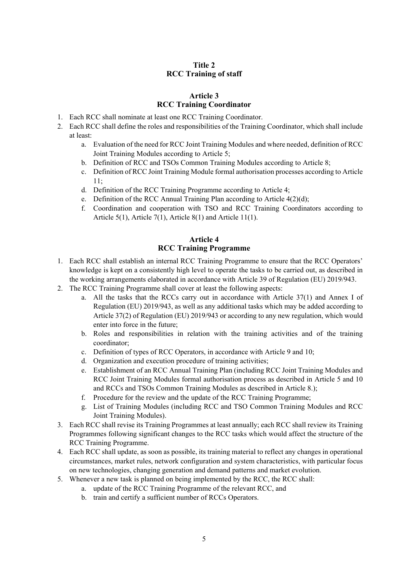# **Title 2 RCC Training of staff**

# **Article 3 RCC Training Coordinator**

- 1. Each RCC shall nominate at least one RCC Training Coordinator.
- 2. Each RCC shall define the roles and responsibilities of the Training Coordinator, which shall include at least:
	- a. Evaluation of the need for RCC Joint Training Modules and where needed, definition of RCC Joint Training Modules according to Article 5;
	- b. Definition of RCC and TSOs Common Training Modules according to Article 8;
	- c. Definition of RCC Joint Training Module formal authorisation processes according to Article 11;
	- d. Definition of the RCC Training Programme according to Article 4;
	- e. Definition of the RCC Annual Training Plan according to Article 4(2)(d);
	- f. Coordination and cooperation with TSO and RCC Training Coordinators according to Article 5(1), Article 7(1), Article 8(1) and Article 11(1).

## **Article 4 RCC Training Programme**

- 1. Each RCC shall establish an internal RCC Training Programme to ensure that the RCC Operators' knowledge is kept on a consistently high level to operate the tasks to be carried out, as described in the working arrangements elaborated in accordance with Article 39 of Regulation (EU) 2019/943.
- 2. The RCC Training Programme shall cover at least the following aspects:
	- a. All the tasks that the RCCs carry out in accordance with Article 37(1) and Annex I of Regulation (EU) 2019/943, as well as any additional tasks which may be added according to Article 37(2) of Regulation (EU) 2019/943 or according to any new regulation, which would enter into force in the future;
	- b. Roles and responsibilities in relation with the training activities and of the training coordinator;
	- c. Definition of types of RCC Operators, in accordance with Article 9 and 10;
	- d. Organization and execution procedure of training activities;
	- e. Establishment of an RCC Annual Training Plan (including RCC Joint Training Modules and RCC Joint Training Modules formal authorisation process as described in Article 5 and 10 and RCCs and TSOs Common Training Modules as described in Article 8.);
	- f. Procedure for the review and the update of the RCC Training Programme;
	- g. List of Training Modules (including RCC and TSO Common Training Modules and RCC Joint Training Modules).
- 3. Each RCC shall revise its Training Programmes at least annually; each RCC shall review its Training Programmes following significant changes to the RCC tasks which would affect the structure of the RCC Training Programme.
- 4. Each RCC shall update, as soon as possible, its training material to reflect any changes in operational circumstances, market rules, network configuration and system characteristics, with particular focus on new technologies, changing generation and demand patterns and market evolution.
- 5. Whenever a new task is planned on being implemented by the RCC, the RCC shall:
	- a. update of the RCC Training Programme of the relevant RCC, and
	- b. train and certify a sufficient number of RCCs Operators.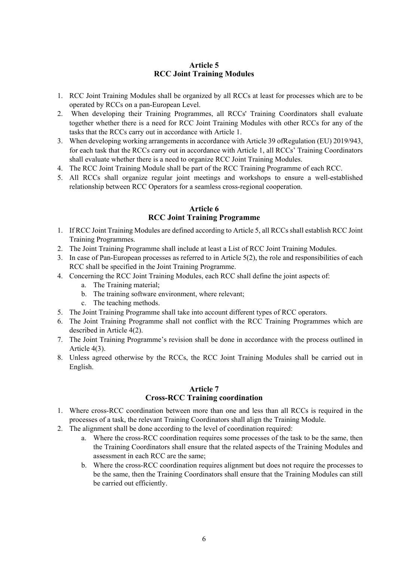# **Article 5 RCC Joint Training Modules**

- 1. RCC Joint Training Modules shall be organized by all RCCs at least for processes which are to be operated by RCCs on a pan-European Level.
- 2. When developing their Training Programmes, all RCCs' Training Coordinators shall evaluate together whether there is a need for RCC Joint Training Modules with other RCCs for any of the tasks that the RCCs carry out in accordance with Article 1.
- 3. When developing working arrangements in accordance with Article 39 ofRegulation (EU) 2019/943, for each task that the RCCs carry out in accordance with Article 1, all RCCs' Training Coordinators shall evaluate whether there is a need to organize RCC Joint Training Modules.
- 4. The RCC Joint Training Module shall be part of the RCC Training Programme of each RCC.
- 5. All RCCs shall organize regular joint meetings and workshops to ensure a well-established relationship between RCC Operators for a seamless cross-regional cooperation.

# **Article 6 RCC Joint Training Programme**

- 1. If RCC Joint Training Modules are defined according to Article 5, all RCCs shall establish RCC Joint Training Programmes.
- 2. The Joint Training Programme shall include at least a List of RCC Joint Training Modules.
- 3. In case of Pan-European processes as referred to in Article 5(2), the role and responsibilities of each RCC shall be specified in the Joint Training Programme.
- 4. Concerning the RCC Joint Training Modules, each RCC shall define the joint aspects of:
	- a. The Training material;
	- b. The training software environment, where relevant;
	- c. The teaching methods.
- 5. The Joint Training Programme shall take into account different types of RCC operators.
- 6. The Joint Training Programme shall not conflict with the RCC Training Programmes which are described in Article 4(2).
- 7. The Joint Training Programme's revision shall be done in accordance with the process outlined in Article 4(3).
- 8. Unless agreed otherwise by the RCCs, the RCC Joint Training Modules shall be carried out in English.

#### **Article 7 Cross-RCC Training coordination**

- 1. Where cross-RCC coordination between more than one and less than all RCCs is required in the processes of a task, the relevant Training Coordinators shall align the Training Module.
- 2. The alignment shall be done according to the level of coordination required:
	- a. Where the cross-RCC coordination requires some processes of the task to be the same, then the Training Coordinators shall ensure that the related aspects of the Training Modules and assessment in each RCC are the same;
	- b. Where the cross-RCC coordination requires alignment but does not require the processes to be the same, then the Training Coordinators shall ensure that the Training Modules can still be carried out efficiently.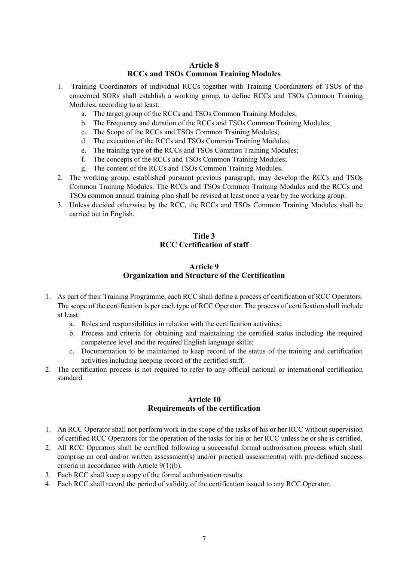# **Article 8 RCCs and TSOs Common Training Modules**

- 1. Training Coordinators of individual RCCs together with Training Coordinators of TSOs of the concerned SORs shall establish a working group, to define RCCs and TSOs Common Training Modules, according to at least:
	- a. The target group of the RCCs and TSOs Common Training Modules;
	- b. The Frequency and duration of the RCCs and TSOs Common Training Modules;
	- c. The Scope of the RCCs and TSOs Common Training Modules;
	- d. The execution of the RCCs and TSOs Common Training Modules;
	- e. The training type of the RCCs and TSOs Common Training Modules;
	- f. The concepts of the RCCs and TSOs Common Training Modules;
	- g. The content of the RCCs and TSOs Common Training Modules.
- 2. The working group, established pursuant previous paragraph, may develop the RCCs and TSOs Common Training Modules. The RCCs and TSOs Common Training Modules and the RCCs and TSOs common annual training plan shall be revised at least once a year by the working group.
- 3. Unless decided otherwise by the RCC, the RCCs and TSOs Common Training Modules shall be carried out in English.

# **Title 3 RCC Certification of staff**

# **Article 9 Organization and Structure of the Certification**

- 1. As part of their Training Programme, each RCC shall define a process of certification of RCC Operators. The scope of the certification is per each type of RCC Operator. The process of certification shall include at least:
	- a. Roles and responsibilities in relation with the certification activities;
	- b. Process and criteria for obtaining and maintaining the certified status including the required competence level and the required English language skills;
	- c. Documentation to be maintained to keep record of the status of the training and certification activities including keeping record of the certified staff.
- 2. The certification process is not required to refer to any official national or international certification standard.

# **Article 10 Requirements of the certification**

- 1. An RCC Operator shall not perform work in the scope of the tasks of his or her RCC without supervision of certified RCC Operators for the operation of the tasks for his or her RCC unless he or she is certified.
- 2. All RCC Operators shall be certified following a successful formal authorisation process which shall comprise an oral and/or written assessment(s) and/or practical assessment(s) with pre-defined success criteria in accordance with Article 9(1)(b).
- 3. Each RCC shall keep a copy of the formal authorisation results.
- 4. Each RCC shall record the period of validity of the certification issued to any RCC Operator.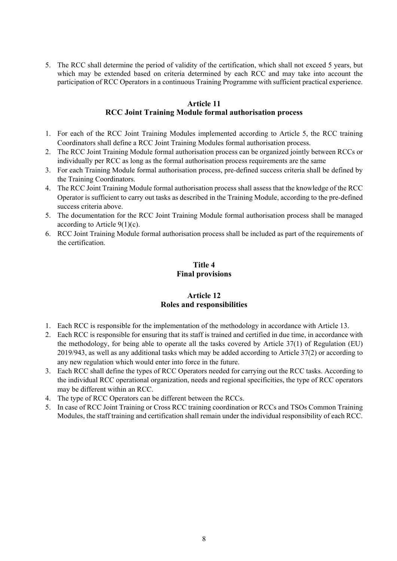5. The RCC shall determine the period of validity of the certification, which shall not exceed 5 years, but which may be extended based on criteria determined by each RCC and may take into account the participation of RCC Operators in a continuous Training Programme with sufficient practical experience.

## **Article 11 RCC Joint Training Module formal authorisation process**

- 1. For each of the RCC Joint Training Modules implemented according to Article 5, the RCC training Coordinators shall define a RCC Joint Training Modules formal authorisation process.
- 2. The RCC Joint Training Module formal authorisation process can be organized jointly between RCCs or individually per RCC as long as the formal authorisation process requirements are the same
- 3. For each Training Module formal authorisation process, pre-defined success criteria shall be defined by the Training Coordinators.
- 4. The RCC Joint Training Module formal authorisation process shall assess that the knowledge of the RCC Operator is sufficient to carry out tasks as described in the Training Module, according to the pre-defined success criteria above.
- 5. The documentation for the RCC Joint Training Module formal authorisation process shall be managed according to Article  $9(1)(c)$ .
- 6. RCC Joint Training Module formal authorisation process shall be included as part of the requirements of the certification.

# **Title 4 Final provisions**

# **Article 12 Roles and responsibilities**

- 1. Each RCC is responsible for the implementation of the methodology in accordance with Article 13.
- 2. Each RCC is responsible for ensuring that its staff is trained and certified in due time, in accordance with the methodology, for being able to operate all the tasks covered by Article 37(1) of Regulation (EU) 2019/943, as well as any additional tasks which may be added according to Article 37(2) or according to any new regulation which would enter into force in the future.
- 3. Each RCC shall define the types of RCC Operators needed for carrying out the RCC tasks. According to the individual RCC operational organization, needs and regional specificities, the type of RCC operators may be different within an RCC.
- 4. The type of RCC Operators can be different between the RCCs.
- 5. In case of RCC Joint Training or Cross RCC training coordination or RCCs and TSOs Common Training Modules, the staff training and certification shall remain under the individual responsibility of each RCC.